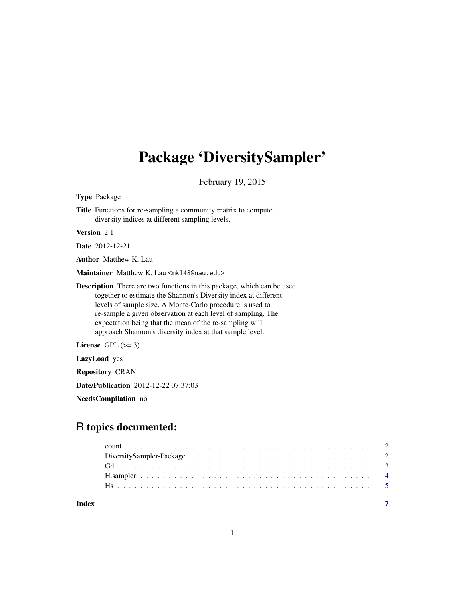## <span id="page-0-0"></span>Package 'DiversitySampler'

February 19, 2015

Type Package

Title Functions for re-sampling a community matrix to compute diversity indices at different sampling levels.

Version 2.1

Date 2012-12-21

Author Matthew K. Lau

Maintainer Matthew K. Lau <mkl48@nau.edu>

Description There are two functions in this package, which can be used together to estimate the Shannon's Diversity index at different levels of sample size. A Monte-Carlo procedure is used to re-sample a given observation at each level of sampling. The expectation being that the mean of the re-sampling will approach Shannon's diversity index at that sample level.

License GPL  $(>= 3)$ 

LazyLoad yes

Repository CRAN

Date/Publication 2012-12-22 07:37:03

NeedsCompilation no

### R topics documented:

| Index |  |  |  |  |  |  |  |  |  |  |  |  |  |  |  |  |  |
|-------|--|--|--|--|--|--|--|--|--|--|--|--|--|--|--|--|--|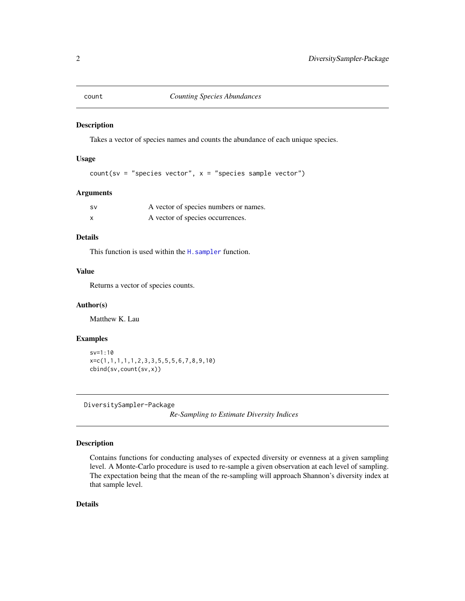<span id="page-1-1"></span><span id="page-1-0"></span>

#### Description

Takes a vector of species names and counts the abundance of each unique species.

#### Usage

```
count(sv = "species vector", x = "species sample vector")
```
#### Arguments

| <b>SV</b> | A vector of species numbers or names. |
|-----------|---------------------------------------|
| X         | A vector of species occurrences.      |

#### Details

This function is used within the H. sampler function.

#### Value

Returns a vector of species counts.

#### Author(s)

Matthew K. Lau

#### Examples

```
sv=1:10
x=c(1,1,1,1,1,2,3,3,5,5,5,6,7,8,9,10)
cbind(sv,count(sv,x))
```
DiversitySampler-Package

*Re-Sampling to Estimate Diversity Indices*

#### Description

Contains functions for conducting analyses of expected diversity or evenness at a given sampling level. A Monte-Carlo procedure is used to re-sample a given observation at each level of sampling. The expectation being that the mean of the re-sampling will approach Shannon's diversity index at that sample level.

#### Details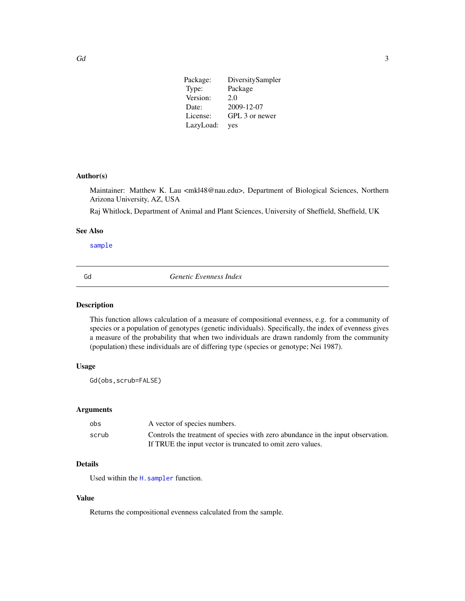<span id="page-2-0"></span>

| Package:  | DiversitySampler |
|-----------|------------------|
| Type:     | Package          |
| Version:  | 2.0              |
| Date:     | 2009-12-07       |
| License:  | GPL 3 or newer   |
| LazyLoad: | yes              |

#### Author(s)

Maintainer: Matthew K. Lau <mkl48@nau.edu>, Department of Biological Sciences, Northern Arizona University, AZ, USA

Raj Whitlock, Department of Animal and Plant Sciences, University of Sheffield, Sheffield, UK

#### See Also

[sample](#page-0-0)

<span id="page-2-1"></span>

Gd *Genetic Evenness Index*

#### Description

This function allows calculation of a measure of compositional evenness, e.g. for a community of species or a population of genotypes (genetic individuals). Specifically, the index of evenness gives a measure of the probability that when two individuals are drawn randomly from the community (population) these individuals are of differing type (species or genotype; Nei 1987).

#### Usage

Gd(obs,scrub=FALSE)

#### Arguments

| obs   | A vector of species numbers.                                                                                                                  |
|-------|-----------------------------------------------------------------------------------------------------------------------------------------------|
| scrub | Controls the treatment of species with zero abundance in the input observation.<br>If TRUE the input vector is truncated to omit zero values. |

#### Details

Used within the H. sampler function.

#### Value

Returns the compositional evenness calculated from the sample.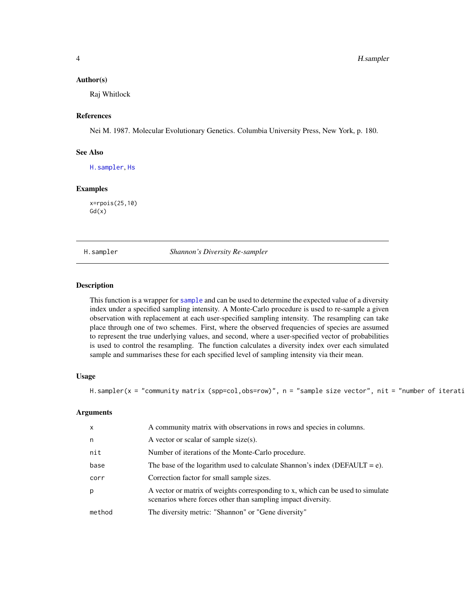#### <span id="page-3-0"></span>Author(s)

Raj Whitlock

#### References

Nei M. 1987. Molecular Evolutionary Genetics. Columbia University Press, New York, p. 180.

#### See Also

[H.sampler](#page-3-1), [Hs](#page-4-1)

#### Examples

x=rpois(25,10)  $Gd(x)$ 

<span id="page-3-1"></span>H.sampler *Shannon's Diversity Re-sampler*

#### **Description**

This function is a wrapper for [sample](#page-0-0) and can be used to determine the expected value of a diversity index under a specified sampling intensity. A Monte-Carlo procedure is used to re-sample a given observation with replacement at each user-specified sampling intensity. The resampling can take place through one of two schemes. First, where the observed frequencies of species are assumed to represent the true underlying values, and second, where a user-specified vector of probabilities is used to control the resampling. The function calculates a diversity index over each simulated sample and summarises these for each specified level of sampling intensity via their mean.

#### Usage

H.sampler(x = "community matrix (spp=col,obs=row)", n = "sample size vector", nit = "number of iterati

#### Arguments

| $\mathsf{x}$ | A community matrix with observations in rows and species in columns.                                                                            |
|--------------|-------------------------------------------------------------------------------------------------------------------------------------------------|
| n            | A vector or scalar of sample size(s).                                                                                                           |
| nit          | Number of iterations of the Monte-Carlo procedure.                                                                                              |
| base         | The base of the logarithm used to calculate Shannon's index (DEFAULT = $e$ ).                                                                   |
| corr         | Correction factor for small sample sizes.                                                                                                       |
| p            | A vector or matrix of weights corresponding to x, which can be used to simulate<br>scenarios where forces other than sampling impact diversity. |
| method       | The diversity metric: "Shannon" or "Gene diversity"                                                                                             |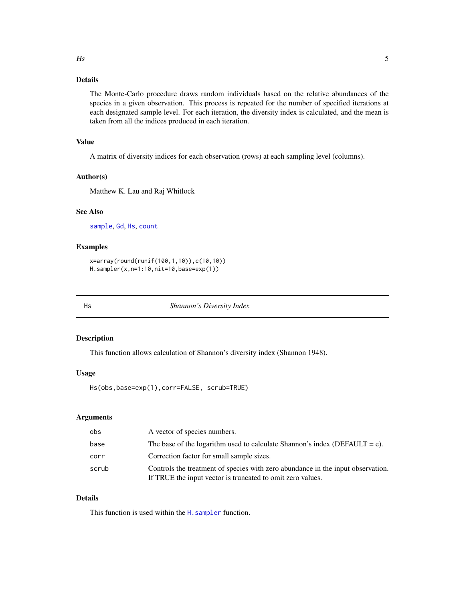#### <span id="page-4-0"></span>Details

The Monte-Carlo procedure draws random individuals based on the relative abundances of the species in a given observation. This process is repeated for the number of specified iterations at each designated sample level. For each iteration, the diversity index is calculated, and the mean is taken from all the indices produced in each iteration.

#### Value

A matrix of diversity indices for each observation (rows) at each sampling level (columns).

#### Author(s)

Matthew K. Lau and Raj Whitlock

#### See Also

[sample](#page-0-0), [Gd](#page-2-1), [Hs](#page-4-1), [count](#page-1-1)

#### Examples

```
x=array(round(runif(100,1,10)),c(10,10))
H.sampler(x,n=1:10,nit=10,base=exp(1))
```
<span id="page-4-1"></span>

Hs *Shannon's Diversity Index*

#### Description

This function allows calculation of Shannon's diversity index (Shannon 1948).

#### Usage

Hs(obs,base=exp(1),corr=FALSE, scrub=TRUE)

#### Arguments

| obs   | A vector of species numbers.                                                                                                                  |
|-------|-----------------------------------------------------------------------------------------------------------------------------------------------|
| base  | The base of the logarithm used to calculate Shannon's index (DEFAULT = e).                                                                    |
| corr  | Correction factor for small sample sizes.                                                                                                     |
| scrub | Controls the treatment of species with zero abundance in the input observation.<br>If TRUE the input vector is truncated to omit zero values. |

#### Details

This function is used within the H. sampler function.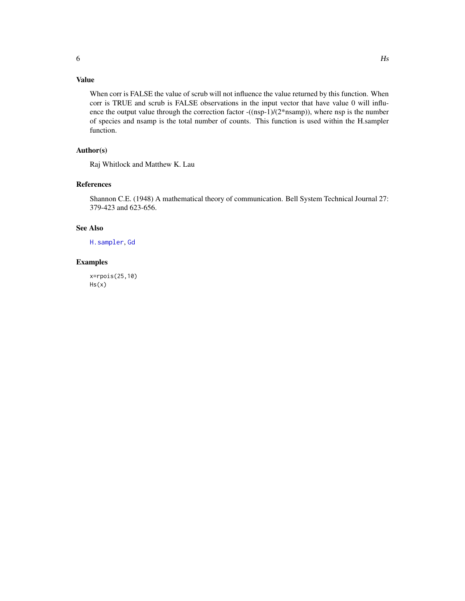#### <span id="page-5-0"></span>Value

When corr is FALSE the value of scrub will not influence the value returned by this function. When corr is TRUE and scrub is FALSE observations in the input vector that have value 0 will influence the output value through the correction factor -((nsp-1)/(2\*nsamp)), where nsp is the number of species and nsamp is the total number of counts. This function is used within the H.sampler function.

#### Author(s)

Raj Whitlock and Matthew K. Lau

#### References

Shannon C.E. (1948) A mathematical theory of communication. Bell System Technical Journal 27: 379-423 and 623-656.

#### See Also

[H.sampler](#page-3-1), [Gd](#page-2-1)

#### Examples

x=rpois(25,10)  $Hs(x)$